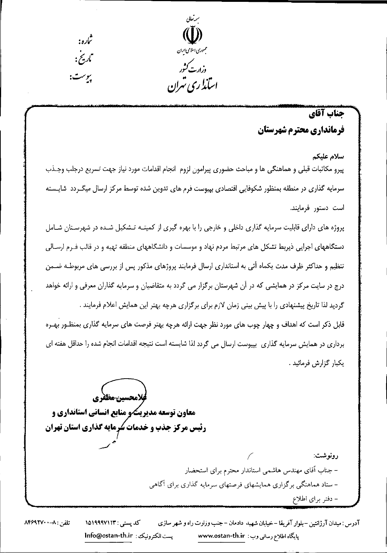

# جناب آقاي فرمانداري محترم شهرستان

سلام عليكم پیرو مکاتبات قبلی و هماهنگی ها و مباحث حضوری پیرامون لزوم انجام اقدامات مورد نیاز جهت تسریع درجلب وجـذب سرمایه گذاری در منطقه بمنظور شکوفایی اقتصادی بپیوست فرم های تدوین شده توسط مرکز ارسال میگـردد شایـسته است دستور فرمایند.

پروژه های دارای قابلیت سرمایه گذاری داخلی و خارجی را با بهره گیری از کمیتـه تـشکیل شـده در شهرسـتان شـامل دستگاههای اجرایی ذیربط تشکل های مرتبط مردم نهاد و موسسات و دانشگاههای منطقه تهیه و در قالب فـرم ارســالی تنظیم و حداکثر ظرف مدت یکماه آتی به استانداری ارسال فرمایند پروژهای مذکور پس از بررسی های مربوطـه ضــمن

درج در سایت مرکز در همایشی که در آن شهرستان برگزار می گردد به متقاضیان و سرمایه گذاران معرفی و ارائه خواهد

گردید لذا تاریخ پیشنهادی را با پیش بینی زمان لازم برای برگزاری هرچه بهتر این همایش اعلام فرمایند .

قابل ذکر است که اهداف و چهار چوب های مورد نظر جهت ارائه هرچه بهتر فرصت های سرمایه گذاری بمنظـور بهـره برداری در همایش سرمایه گذاری ِ بپیوست ارسال می گردد لذا شایسته است نتیجه اقدامات انجام شده را حداقل هفته ای يكبار گزارش فرمائيد .

فلامحسين مظفري **معاون توسعه مدیریگ و منابع انسانی استانداری و** رئیس مرکز جذب و خدمات سُرمایه گذاری استان تهران رونوشت: – جناب آقاي مهندس هاشمي استاندار محترم براي استحضار – ستاد هماهنگی برگزاری همایشهای فرصتهای سرمایه گذاری برای آگاهی – دفتر برای اطلاع

آدرس : میدان آرژانتین –بلوار آفریقا – خیابان شهید دادمان – جنب وزارت راه و شهر سازی کد پستی : ۱۵۱۹۹۹۷۱۱۳ تلفن : ٨-٨۴۶٩٢٧٠ بست الكترونيكن: lnfo@ostan-th.ir پایگاه اطلاع رسانی وب : www.ostan-th.ir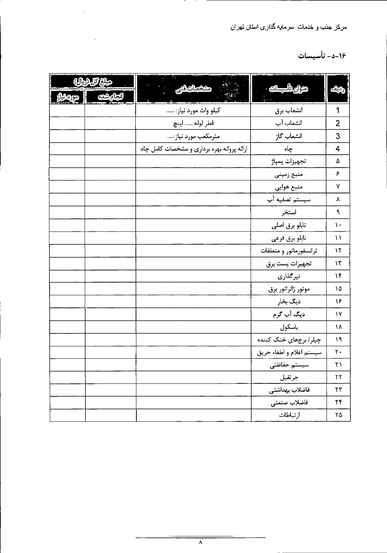# ۱۶-د- تأسیسات

| هبلغ كل (ريال) | $\mathcal{L}(\mathcal{L})$<br>مشخصات فنى    | عنران تأسيسات ·          | <u>زديف</u>   |
|----------------|---------------------------------------------|--------------------------|---------------|
| انجام شده      |                                             |                          |               |
|                | كيلو وات مورد نياز:                         | انشعاب برق               |               |
|                | قطر لوله  اينچ                              | انشعاب آب                | 2             |
|                | مترمکعب مورد نیاز:                          | انشعاب گاز               | 3             |
|                | ارائه پروانه بهره برداری و مشخصات کامل چاه: | جاه                      |               |
|                |                                             | تجهيزات پمپاژ            | ۵             |
|                |                                             | منبع زمينى               | ۶             |
|                |                                             | منبع هوایی               | ۷             |
|                |                                             | سيستم تصفيه آب           |               |
|                |                                             | استخر                    | $\mathbf{A}$  |
|                |                                             | تابلو برق اصلى           | ١.            |
|                |                                             | تابلو برق فرعى           | $\mathcal{U}$ |
|                |                                             | ترانسفورماتور و متعلقات  | $\mathcal{N}$ |
|                |                                             | تجهيزات پست برق          | $\mathcal{N}$ |
|                |                                             | تیرگذاری                 | $\mathcal{N}$ |
|                |                                             | موتور ژانراتور برق       | ١۵            |
|                |                                             | دیگ بخار                 | ۱۶            |
|                |                                             | دیگ آب گرم               | ١Y            |
|                |                                             | باسكول                   | ١٨            |
|                |                                             | چیلر / برجهای خنک کننده  | 19            |
|                |                                             | سيستم اعلام و اطفاء حريق | ٢٠            |
|                |                                             | سيستم حفاظتى             | ۲۱            |
|                |                                             | جرثقيل                   | ٢٢            |
|                |                                             | فاضلاب بهداشتى           | ٢٣            |
|                |                                             | فاضلاب صنعتي             | ٢۴            |
|                |                                             | أرتباطات                 | ۲۵            |

 $\label{eq:2.1} \mathcal{L}(\mathcal{L}^{\mathcal{L}}_{\mathcal{L}}(\mathcal{L}^{\mathcal{L}}_{\mathcal{L}})) = \mathcal{L}(\mathcal{L}^{\mathcal{L}}_{\mathcal{L}}(\mathcal{L}^{\mathcal{L}}_{\mathcal{L}})) = \mathcal{L}(\mathcal{L}^{\mathcal{L}}_{\mathcal{L}}(\mathcal{L}^{\mathcal{L}}_{\mathcal{L}})) = \mathcal{L}(\mathcal{L}^{\mathcal{L}}_{\mathcal{L}}(\mathcal{L}^{\mathcal{L}}_{\mathcal{L}}))$ 

 $\mathcal{L}(\mathcal{L}(\mathcal{L}(\mathcal{L}(\mathcal{L}(\mathcal{L}(\mathcal{L}(\mathcal{L}(\mathcal{L}(\mathcal{L}(\mathcal{L}(\mathcal{L}(\mathcal{L}(\mathcal{L}(\mathcal{L}(\mathcal{L}(\mathcal{L}(\mathcal{L}(\mathcal{L}(\mathcal{L}(\mathcal{L}(\mathcal{L}(\mathcal{L}(\mathcal{L}(\mathcal{L}(\mathcal{L}(\mathcal{L}(\mathcal{L}(\mathcal{L}(\mathcal{L}(\mathcal{L}(\mathcal{L}(\mathcal{L}(\mathcal{L}(\mathcal{L}(\mathcal{L}(\mathcal{$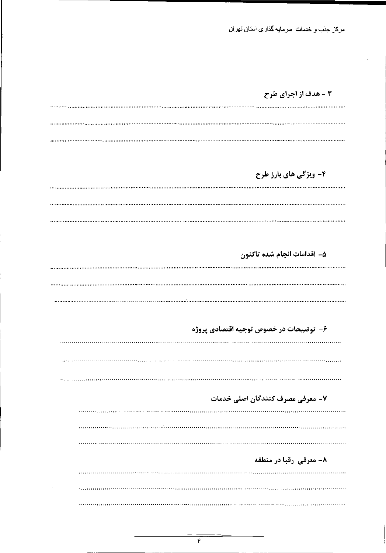۳ - هدف از اجرای طرح

۴- ویژگی های بارز طرح

۵- اقدامات انجام شده تاكنون

۶- توضیحات در خصوص توجیه اقتصادی پروژه ۷- معرفی مصرف کنندگان اصلی خدمات ۸- معرفی رقبا در منطقه 

 $\sim$ 

**\*\*\*\*\*\*\*\*\*\*\*\*\*\*\*\*\*\*\*\***\*

 $\mathbf{\hat{r}}$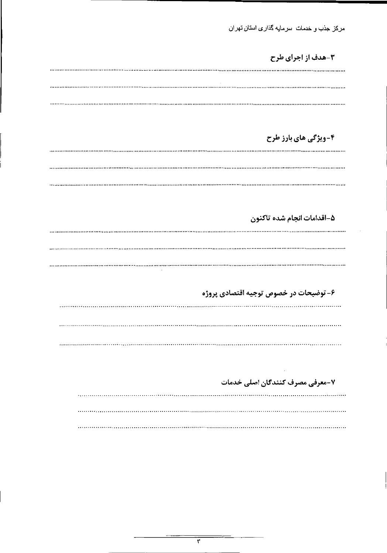$\cdot$ 

۳-هدف از اجرای طرح

۴-ویژگی های بارز طرح

۵-اقدامات انجام شده تاكنون

#### ۶- توضیحات در خصوص توجیه اقتصادی پروژه

. . *. . . . .* . . . . . . .

.............................

۷-معرفی مصرف کنندگان اصلی خدمات

٣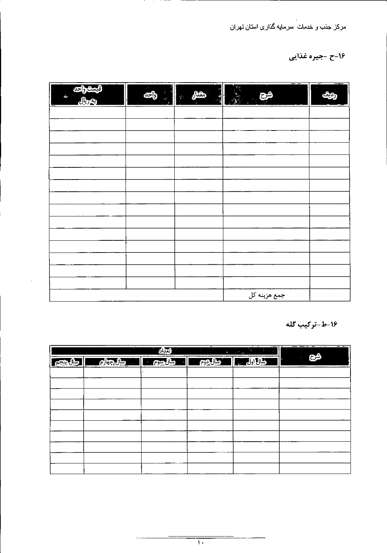# ۱۶-ح -جیره غذایی

| فيمت واحد<br>$\mathcal{L}_{\mathbf{r}}$<br>Jļ<br>$=$ | $\mathcal{E}_j$<br>в<br>وأحد<br><b>A</b> | $-$<br>$\sim$<br>رمقدار<br>цŀ,<br>$\mathcal{L}_{\mathcal{L}}$ | $- -$<br>$\mathcal{P}_{\mathcal{C}}$<br>شح<br>$\mathcal{L}_{\mathcal{A}}$<br>$\frac{1}{2} \left( \frac{1}{2} \right) \left( \frac{1}{2} \right) \left( \frac{1}{2} \right) \left( \frac{1}{2} \right) \left( \frac{1}{2} \right) \left( \frac{1}{2} \right) \left( \frac{1}{2} \right) \left( \frac{1}{2} \right) \left( \frac{1}{2} \right) \left( \frac{1}{2} \right) \left( \frac{1}{2} \right) \left( \frac{1}{2} \right) \left( \frac{1}{2} \right) \left( \frac{1}{2} \right) \left( \frac{1}{2} \right) \left( \frac{1}{2} \right) \left( \frac$ | <u>— 1</u><br>$-$<br>كزديفة<br><b>Property</b> |
|------------------------------------------------------|------------------------------------------|---------------------------------------------------------------|---------------------------------------------------------------------------------------------------------------------------------------------------------------------------------------------------------------------------------------------------------------------------------------------------------------------------------------------------------------------------------------------------------------------------------------------------------------------------------------------------------------------------------------------------------|------------------------------------------------|
|                                                      |                                          |                                                               |                                                                                                                                                                                                                                                                                                                                                                                                                                                                                                                                                         |                                                |
|                                                      |                                          |                                                               |                                                                                                                                                                                                                                                                                                                                                                                                                                                                                                                                                         |                                                |
|                                                      |                                          |                                                               |                                                                                                                                                                                                                                                                                                                                                                                                                                                                                                                                                         |                                                |
|                                                      |                                          |                                                               |                                                                                                                                                                                                                                                                                                                                                                                                                                                                                                                                                         |                                                |
|                                                      |                                          |                                                               |                                                                                                                                                                                                                                                                                                                                                                                                                                                                                                                                                         |                                                |
|                                                      |                                          |                                                               |                                                                                                                                                                                                                                                                                                                                                                                                                                                                                                                                                         |                                                |
|                                                      |                                          |                                                               |                                                                                                                                                                                                                                                                                                                                                                                                                                                                                                                                                         |                                                |
|                                                      |                                          |                                                               |                                                                                                                                                                                                                                                                                                                                                                                                                                                                                                                                                         |                                                |
|                                                      |                                          |                                                               |                                                                                                                                                                                                                                                                                                                                                                                                                                                                                                                                                         |                                                |
|                                                      |                                          |                                                               |                                                                                                                                                                                                                                                                                                                                                                                                                                                                                                                                                         |                                                |
|                                                      |                                          |                                                               |                                                                                                                                                                                                                                                                                                                                                                                                                                                                                                                                                         |                                                |
|                                                      |                                          |                                                               |                                                                                                                                                                                                                                                                                                                                                                                                                                                                                                                                                         |                                                |
|                                                      |                                          |                                                               |                                                                                                                                                                                                                                                                                                                                                                                                                                                                                                                                                         |                                                |
|                                                      |                                          |                                                               |                                                                                                                                                                                                                                                                                                                                                                                                                                                                                                                                                         |                                                |

| -----                        | ________ | ---------                                |  |
|------------------------------|----------|------------------------------------------|--|
| ________<br>________________ |          | -جمع هزينه ،<br>∼<br>…∕<br>ັ<br><u>.</u> |  |

**Contract** 

 $\mathbb{Z}^2$ 

۱۶-ط-ترکیب گله

|                                                                                                                                                                                                                                  | أتعدادا | $\mathbf{r}$ , $\mathbf{r}$ , $\mathbf{r}$ , $\mathbf{r}$<br>$\cdot$ - $\cdot$ $\cdot$<br>$\mathbf{q}_0$<br>$\omega^2 = 1/\sqrt{2}$ | - - -<br>$\cdots$  |
|----------------------------------------------------------------------------------------------------------------------------------------------------------------------------------------------------------------------------------|---------|-------------------------------------------------------------------------------------------------------------------------------------|--------------------|
| مسال المسابق المسابق المسابق المسابق المسابق المسابق المسابق المسابق المسابق المسابق المسابق المسابق المسابق ا<br>المسابق المسابق المسابق المسابق المسابق المسابق المسابق المسابق المسابق المسابق المسابق المسابق المسابق المساب |         | المعالج والمستقيد المستوينات ومن                                                                                                    | شح<br>$\mathbf{z}$ |
|                                                                                                                                                                                                                                  |         |                                                                                                                                     |                    |
|                                                                                                                                                                                                                                  |         |                                                                                                                                     |                    |
|                                                                                                                                                                                                                                  |         |                                                                                                                                     |                    |
|                                                                                                                                                                                                                                  |         |                                                                                                                                     |                    |
|                                                                                                                                                                                                                                  |         |                                                                                                                                     |                    |
|                                                                                                                                                                                                                                  |         |                                                                                                                                     |                    |
|                                                                                                                                                                                                                                  |         |                                                                                                                                     |                    |
|                                                                                                                                                                                                                                  |         |                                                                                                                                     |                    |
|                                                                                                                                                                                                                                  |         |                                                                                                                                     |                    |
|                                                                                                                                                                                                                                  |         |                                                                                                                                     |                    |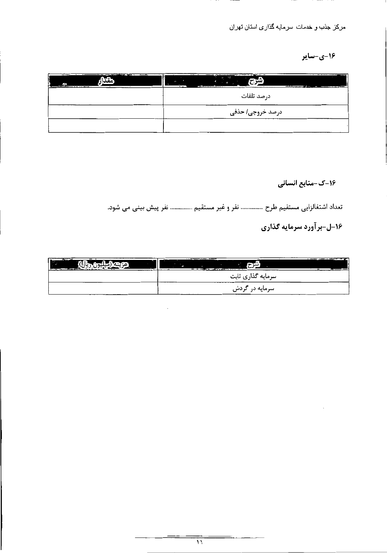1۶-ي-ساير

| <b>PERSONAL</b><br><b>BALLARDER</b><br>———————<br>w<br>مقدا<br>r.<br>$-$<br>. . | $\sim$ $\sim$ $\sim$<br>- -<br>----------<br>. .<br>——<br><b>TALK</b><br>(شرح)<br>in 1999.<br><b>Section</b><br>——<br><u>, administration communication</u><br>$\mathcal{L}$ and $\mathcal{L}$<br><u>in the property company was a series of the property of the series of the property of the series of the series of the series of the series of the series of the series of the series of the series of the series of the serie</u><br>$\mathbf{r}$ |
|---------------------------------------------------------------------------------|--------------------------------------------------------------------------------------------------------------------------------------------------------------------------------------------------------------------------------------------------------------------------------------------------------------------------------------------------------------------------------------------------------------------------------------------------------|
|                                                                                 | درصد تلفات                                                                                                                                                                                                                                                                                                                                                                                                                                             |
|                                                                                 | درصد خروجی/ حذفی                                                                                                                                                                                                                                                                                                                                                                                                                                       |
|                                                                                 |                                                                                                                                                                                                                                                                                                                                                                                                                                                        |

16-ک-منابع انسانی

تعداد اشتغالزایی مستقیم طرح ............... نفر و غیر مستقیم ............... نفر پیش بینی می شود. ۱۶-ل-برآورد سرمایه گذاری

| <b>ALC: 45</b><br>. .<br>$\overline{\phantom{a}}$<br><b>יַ</b> יָטַעַ<br>-----<br>$- \cdot -$<br>$  -$<br><u> 1986 - 1987 - 1988 - 1988 - 1988 - 1988 - 1988 - 1988 - 1988 - 1988 - 1988 - 1988 - 1988 - 1988 - 1988 - 1988 - 1988 - 1988 - 1988 - 1988 - 1988 - 1988 - 1988 - 1988 - 1988 - 1988 - 1988 - 1988 - 1988 - 1988 - 1988 - 198</u><br>a., | . ست<br>.<br><u> 1950 - An de Maria de Santo de Santo de Santo de Santo de Santo de Santo de Santo de Santo de Santo de Santo de Santo de Santo de Santo de Santo de Santo de Santo de Santo de Santo de Santo de Santo de Santo de Santo de </u> | $-$ and the second contract of the second contract $\overline{A}$ |
|-------------------------------------------------------------------------------------------------------------------------------------------------------------------------------------------------------------------------------------------------------------------------------------------------------------------------------------------------------|---------------------------------------------------------------------------------------------------------------------------------------------------------------------------------------------------------------------------------------------------|-------------------------------------------------------------------|
|                                                                                                                                                                                                                                                                                                                                                       | ىس                                                                                                                                                                                                                                                |                                                                   |

|        | _____<br>____________<br>-----<br>-- |
|--------|--------------------------------------|
|        | سرمایه در گردش                       |
| ______ | ---                                  |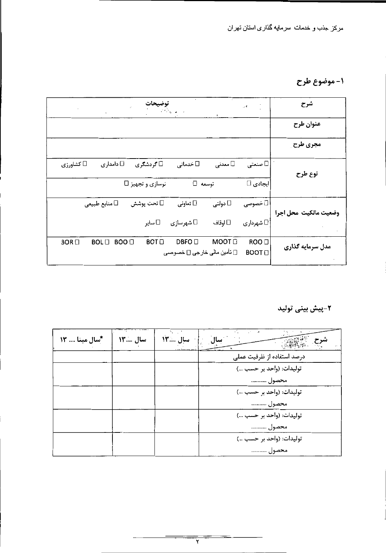## 1- موضوع طرح

|                | $\sim$                                              |                         |                                                   |               | 。 *                         | شرح                   |
|----------------|-----------------------------------------------------|-------------------------|---------------------------------------------------|---------------|-----------------------------|-----------------------|
|                |                                                     |                         |                                                   |               |                             | عنوان طرح             |
|                |                                                     |                         |                                                   |               |                             | مجري طرح              |
| کشاورزی $\Box$ | ا∐ دامداری                                          | ⊡ گردشگری               | □ خدماتی                                          | معدنی $\Box$  | صنعتی $\Box$                | نوع طرح               |
|                |                                                     | نوسازی و تجهیز □        | توسعه []                                          |               | ایجادی ⊡                    |                       |
|                | منابع طبیعی $\Box$                                  | ⊡ تحت پوشش              | تعاونی $\Box$                                     | دولتی $\Box$  | ∖ ⊡ خصوصی                   | وضعيت مالكيت محل اجرا |
|                |                                                     | ⊡ ساير                  | شهرسازی $\Box$                                    | □ اوقاف       | شهرداری $\,\mathop{\Box}\,$ |                       |
| $BOR \Box$     | <b>BOO</b> <sup>[]</sup><br><b>BOL</b> <sub>D</sub> | <b>BOT</b> <sub>D</sub> | DBFO <sub>U</sub><br>[] تأمين مالي خارجي [] خصوصي | MOOT <b>D</b> | ROO <b>O</b><br><b>BOOT</b> | مدل سرمایه گذاری      |

# ۲-پیش بینی تولید

| *سال مبنا  13 | سال  ١٣ | اسال ۱۳ | $\mathcal{A}$<br>سال       |
|---------------|---------|---------|----------------------------|
|               |         |         | درصد استفاده از ظرفیت عملی |
|               |         |         | توليدات: (واحد بر حسب )    |
|               |         |         | محصول                      |
|               |         |         | توليدات: (واحد بر حسب )    |
|               |         |         | محصول                      |
|               |         |         | توليدات: (واحد بر حسب )    |
|               |         |         | محصول                      |
|               |         |         | توليدات: (واحد بر حسب )    |
|               |         |         | محصول                      |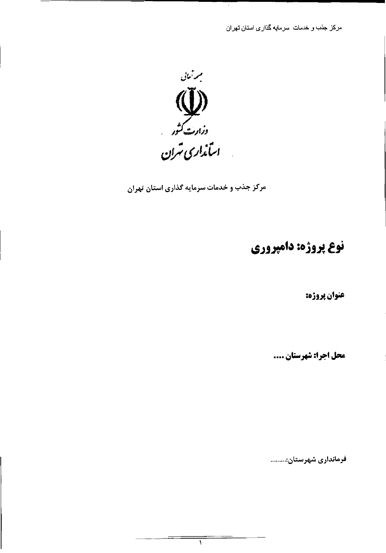$\epsilon$ 



مرکز جذب و خدمات سرمایه گذاری استان تهران

١

# نوع پروژه: دامپروري

عنوان پروژه:

محل اجرا: شهرستان ....

فرمانداری شهرستان:.........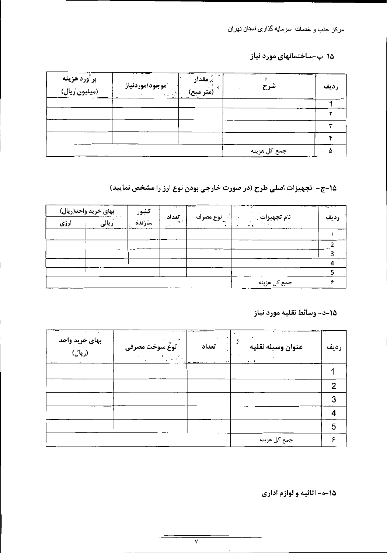15-ب-ساختمانهای مورد نیاز

| _______ <del>__</del> __ | <b>َموجود/موردنیاز</b><br>$\{ \mathbf{r}_{\text{max}}, \mathbf{r}_{\text{max}}^{\text{th}} \}$ . | ِمُّ مقدار<br>گر<br>(متر مبع) | شرح<br>$\sim$<br><u>and a station of the station of the station of the station of the station of the station of the station of the station of the station of the station of the station of the station of the station of the station of the stati</u> | $\frac{1}{2}$ and $\frac{1}{2}$ and $\frac{1}{2}$ are $\frac{1}{2}$<br>رديف |
|--------------------------|--------------------------------------------------------------------------------------------------|-------------------------------|-------------------------------------------------------------------------------------------------------------------------------------------------------------------------------------------------------------------------------------------------------|-----------------------------------------------------------------------------|
|                          |                                                                                                  |                               |                                                                                                                                                                                                                                                       |                                                                             |
|                          |                                                                                                  |                               |                                                                                                                                                                                                                                                       |                                                                             |
|                          |                                                                                                  |                               |                                                                                                                                                                                                                                                       |                                                                             |
|                          |                                                                                                  |                               |                                                                                                                                                                                                                                                       |                                                                             |
|                          |                                                                                                  |                               | جمع کل هزینه                                                                                                                                                                                                                                          |                                                                             |

1۵-ج- تجهیزات اصلی طرح (در صورت خارجی بودن نوع ارز را مشخص نمایید)

|      | بهای خرید واحد(ریال) | كشور   | $\alpha$ and $\alpha$ and $\alpha$ |                                    | $\frac{1}{2}$        | $\frac{1}{2} \left( \frac{1}{2} \right) \left( \frac{1}{2} \right) \left( \frac{1}{2} \right) \left( \frac{1}{2} \right) \left( \frac{1}{2} \right) \left( \frac{1}{2} \right) \left( \frac{1}{2} \right) \left( \frac{1}{2} \right) \left( \frac{1}{2} \right) \left( \frac{1}{2} \right) \left( \frac{1}{2} \right) \left( \frac{1}{2} \right) \left( \frac{1}{2} \right) \left( \frac{1}{2} \right) \left( \frac{1}{2} \right) \left( \frac{1}{2} \right) \left( \frac$ |
|------|----------------------|--------|------------------------------------|------------------------------------|----------------------|----------------------------------------------------------------------------------------------------------------------------------------------------------------------------------------------------------------------------------------------------------------------------------------------------------------------------------------------------------------------------------------------------------------------------------------------------------------------------|
| ارزی |                      | سأزنده | تعداد<br>$\mathbf{A}$              | <sup>لاء</sup> ِ نوع مصرف<br>it. A | نام تجهيزات<br>- 天津。 | ديف                                                                                                                                                                                                                                                                                                                                                                                                                                                                        |
|      |                      |        |                                    |                                    |                      |                                                                                                                                                                                                                                                                                                                                                                                                                                                                            |
|      |                      |        |                                    |                                    |                      |                                                                                                                                                                                                                                                                                                                                                                                                                                                                            |
|      |                      |        |                                    |                                    |                      |                                                                                                                                                                                                                                                                                                                                                                                                                                                                            |
|      |                      |        |                                    |                                    |                      |                                                                                                                                                                                                                                                                                                                                                                                                                                                                            |
|      |                      |        |                                    |                                    |                      |                                                                                                                                                                                                                                                                                                                                                                                                                                                                            |
|      |                      |        |                                    |                                    |                      |                                                                                                                                                                                                                                                                                                                                                                                                                                                                            |

|                               | 20<br>. പറ<br>$\mathbf{a}$ . $\mathbf{b}$<br>$\overline{\phantom{a}}$<br>$   -$<br>- - |      |
|-------------------------------|----------------------------------------------------------------------------------------|------|
| .<br>$--- -$<br>______<br>___ | ---                                                                                    | ____ |

15-د- وسائط نقليه مورد نياز

| بهای خرید واحد<br>(ريال) | .,<br>أنوعٌ سوخت مصرفي<br>$\sigma=0.1$ | تعداد | عنوان وسيله نقليه<br>$-1$ | رديف |
|--------------------------|----------------------------------------|-------|---------------------------|------|
|                          |                                        |       |                           |      |
|                          |                                        |       |                           |      |
|                          |                                        |       |                           |      |
|                          |                                        |       |                           |      |
|                          |                                        |       |                           | 5    |
|                          |                                        |       | جمع کل هزینه              |      |

1۵-ه- اثاثیه و لوازم اداری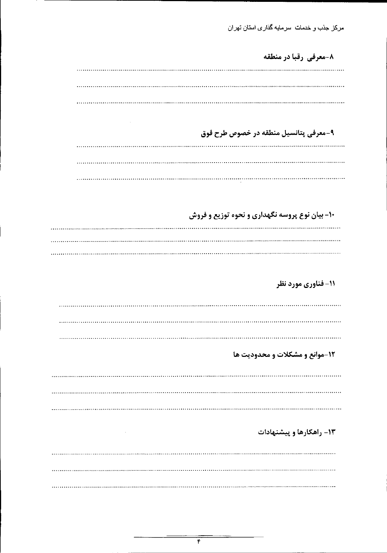۸-معرفی رقبا در منطقه

 $\sim 100$  km s  $^{-1}$ 

and the contract of the

۹-معرفی پتانسیل منطقه در خصوص طرح فوق

۱۰- بیان نوع پروسه نگهداری و نحوه توزیع و فروش

11- فناوري مورد نظر

12-موانع و مشکلات و محدودیت ها

۱۳- راهکارها و پیشنهادات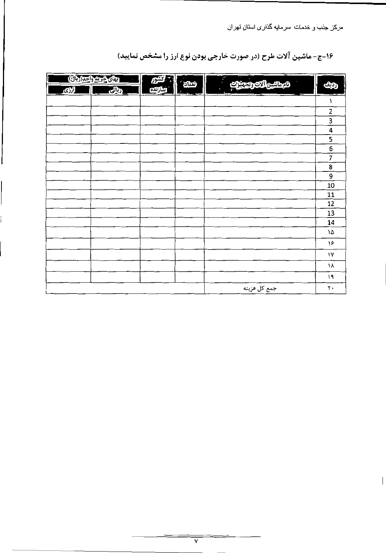۱۶-ج- ماشین آلات طرح (در صورت خارجی بودن نوع ارز را مشخص نمایید)

| <b>بهای خرید واحد(ریال)</b><br>குரி<br>ودالى | م كشور<br>م<br>سازنده | أثنناه أ<br>k,                                                                                                | الم ماشين <mark>الآت وتجميزات</mark> | .<br>היישו<br>رديف |
|----------------------------------------------|-----------------------|---------------------------------------------------------------------------------------------------------------|--------------------------------------|--------------------|
|                                              |                       | $\frac{1}{2}$ , $\frac{1}{2}$ , $\frac{1}{2}$ , $\frac{1}{2}$ , $\frac{1}{2}$ , $\frac{1}{2}$ , $\frac{1}{2}$ | <u>.</u>                             | — ೯                |
|                                              |                       |                                                                                                               |                                      | 2                  |
|                                              |                       |                                                                                                               |                                      | 3                  |
|                                              |                       |                                                                                                               |                                      | 4                  |
|                                              |                       |                                                                                                               |                                      | 5                  |
|                                              |                       |                                                                                                               |                                      | 6                  |
|                                              |                       |                                                                                                               |                                      | 7                  |
|                                              |                       |                                                                                                               |                                      | 8                  |
|                                              |                       |                                                                                                               |                                      | 9                  |
|                                              |                       |                                                                                                               |                                      | 10                 |
|                                              |                       |                                                                                                               |                                      | 11                 |
|                                              |                       |                                                                                                               |                                      | 12                 |
|                                              |                       |                                                                                                               |                                      | 13                 |
|                                              |                       |                                                                                                               |                                      | 14                 |
|                                              |                       |                                                                                                               |                                      | ١۵                 |
|                                              |                       |                                                                                                               |                                      | ۱۶                 |
|                                              |                       |                                                                                                               |                                      | ۱۷                 |
|                                              |                       |                                                                                                               |                                      | ١٨                 |
|                                              |                       |                                                                                                               |                                      | ۱۹                 |

| جمع تل هزينه |  |
|--------------|--|

 $\overline{V}$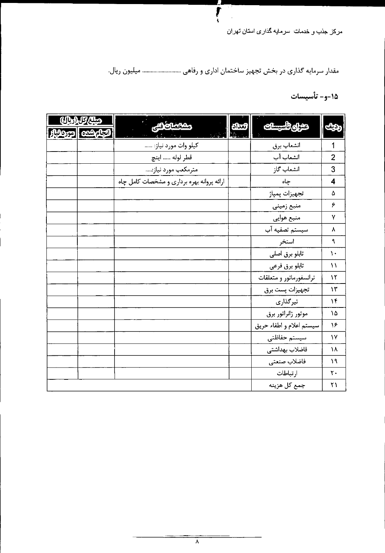# مقدار سرمایه گذاری در بخش تجهیز ساختمان اداری و رفاهی ......................... میلیون ریال.

 $\overline{r}$ 

 $\mathbf{L}$ 

1۵-و- تأسيسات

| <u> رمېنن/کل (پال)</u> | مصات فنئ                                   | تعدادا | حنران تأسيسات            |     |
|------------------------|--------------------------------------------|--------|--------------------------|-----|
| හිරිහත   ගනරුවා        |                                            |        |                          | ديف |
|                        | کیلو وات مورد نیاز:                        |        | انشعاب برق               |     |
|                        | قطر لوله  اينچ                             |        | انشعاب آب                | 2   |
|                        | مترمكعب مورد نياز:                         |        | انشعاب گاز               | 3   |
|                        | ارائه پروانه بهره برداری و مشخصات کامل چاه |        | جاه                      | 4   |
|                        |                                            |        | تجهيزات بمباژ            |     |
|                        |                                            |        | منبع زمينى               | ۶   |
|                        |                                            |        | منبع هوایی               | ۷   |
|                        |                                            |        | سیستم تصفیه آب           |     |
|                        |                                            |        | استخر                    |     |
|                        |                                            |        | تابلو برق اصلى           | ;∙  |
|                        |                                            |        | تابلو برق فرعي           | ۱۱  |
|                        |                                            |        | ترانسفورماتور و متعلقات  | ١٢  |
|                        |                                            |        | تجهيزات پست برق          | ۱۳  |
|                        |                                            |        | تیرگذاری                 | ۱۴  |
|                        |                                            |        | موتور ژانراتور برق       | ١۵  |
|                        |                                            |        | سيستم اعلام و اطفاء حريق | ۱۶  |
|                        |                                            |        | سيستم حفاظتى             | ١٧  |
|                        |                                            |        | فاضلاب بهداشتى           | ١٨  |
|                        |                                            |        | فاضلاب صنعتى             | ١٩  |
|                        |                                            |        | ارتباطات                 | ٢.  |
|                        |                                            |        | جمع كل هزينه             | ۲۱  |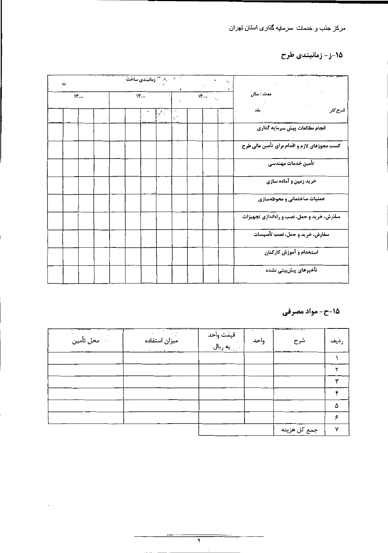### 1۵-ز - زمانبندی طرح

| $\sim$ |  |  | المستخدم المستخدم المستخدم المساحية المستخدم المستخدم المستخدم المستخدم المستخدم المستخدم المستخدم ا |  |                     |                  |  | Ńу        |                                              |
|--------|--|--|------------------------------------------------------------------------------------------------------|--|---------------------|------------------|--|-----------|----------------------------------------------|
| 15     |  |  | $W$                                                                                                  |  | $\ddot{\mathbf{r}}$ | $Y_{\text{max}}$ |  | مدت : سال |                                              |
|        |  |  |                                                                                                      |  | $\Delta$<br>10.     |                  |  |           | شرح کار<br>مآه                               |
|        |  |  |                                                                                                      |  |                     |                  |  |           | انجام مطالعات پیش سرمایه گذاری               |
|        |  |  |                                                                                                      |  |                     |                  |  |           | كسب مجوزهاي لازم و اقدام براي تأمين مالي طرح |
|        |  |  |                                                                                                      |  |                     |                  |  |           | -تأمين خدمات مهندسى                          |
|        |  |  |                                                                                                      |  |                     |                  |  |           | خرید زمین و آماده سازی                       |
|        |  |  |                                                                                                      |  |                     |                  |  |           | عملیات ساختمانی و محوطهسازی                  |
|        |  |  |                                                                                                      |  |                     |                  |  |           | سفارش، خرید و حمل، نصب و راهاندازی تجهیزات   |
|        |  |  |                                                                                                      |  |                     |                  |  |           | سفارش، خرید و حمل، نصب تأسیسات               |
|        |  |  |                                                                                                      |  |                     |                  |  |           | استخدام و آموزش کارکنان                      |
|        |  |  |                                                                                                      |  |                     |                  |  |           | تأخيرهاي پيشبيني نشده                        |

1۵-ح- مواد مصرفی

| .<br>· محل تأمين | ------ | $\cdot$ $ \cdot$ | شرح<br>----  | رديف |
|------------------|--------|------------------|--------------|------|
|                  |        |                  |              |      |
|                  |        |                  |              |      |
|                  |        |                  |              |      |
|                  |        |                  |              |      |
|                  |        |                  |              |      |
|                  |        |                  |              |      |
|                  |        |                  | جمع کل هزینه |      |

the contract of the contract of the

 $\cdot$ 

 $\mathcal{L}(\mathcal{L}(\mathcal{L}(\mathcal{L}(\mathcal{L}(\mathcal{L}(\mathcal{L}(\mathcal{L}(\mathcal{L}(\mathcal{L}(\mathcal{L}(\mathcal{L}(\mathcal{L}(\mathcal{L}(\mathcal{L}(\mathcal{L}(\mathcal{L}(\mathcal{L}(\mathcal{L}(\mathcal{L}(\mathcal{L}(\mathcal{L}(\mathcal{L}(\mathcal{L}(\mathcal{L}(\mathcal{L}(\mathcal{L}(\mathcal{L}(\mathcal{L}(\mathcal{L}(\mathcal{L}(\mathcal{L}(\mathcal{L}(\mathcal{L}(\mathcal{L}(\mathcal{L}(\mathcal{$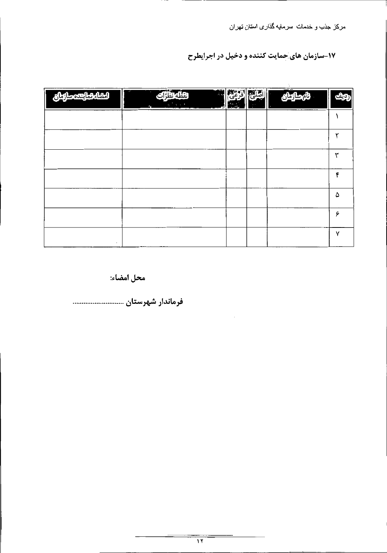17-سازمان های حمایت کننده و دخیل در اجرایطرح

| المطابق المتعصراتهان | تقطة تظ <sup>ب</sup> ات | $\mathcal{L}$ | المصارمان | أرديفه |
|----------------------|-------------------------|---------------|-----------|--------|
|                      |                         |               |           |        |
|                      |                         |               |           |        |
|                      |                         |               |           | ۳      |
|                      |                         |               |           | फ      |
|                      |                         |               |           | ۵      |
|                      |                         |               |           | ۶      |
|                      |                         |               |           | v      |

 $\cdot$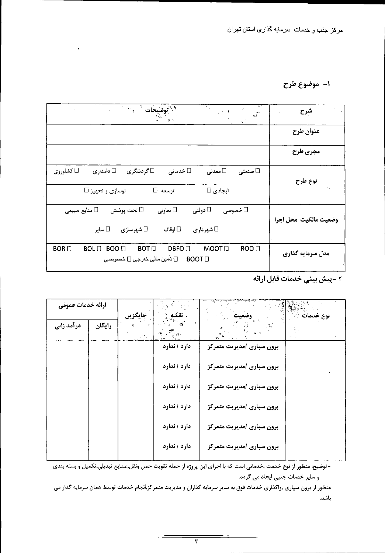#### ۱- موضوع طرح

| شرح<br>$\delta\phi_4$<br>$\mathbf{1}\in\mathbb{S}$ |                                                                                                                                        |
|----------------------------------------------------|----------------------------------------------------------------------------------------------------------------------------------------|
| عنوان طرح                                          |                                                                                                                                        |
| مجري طرح                                           |                                                                                                                                        |
| نوع طرح                                            | ا دامداری $\square$<br>⊡ گردشگری<br>$\Box$ کشاورزی $\Box$<br>ا معدنی $\Box$<br>$\Box$ خدماتی<br>□ صنعتی                                |
|                                                    | توسعه []<br>ایجادی ⊡<br>نوسازی و تجهیز ⊡                                                                                               |
| وضعيت مالكيت محل اجرا                              | دولتى $\Box$<br>□ منابع طبیعی<br>تعاونی $\Box$<br>⊡ تحت پوشش<br>□ خصوصى                                                                |
|                                                    | شهرسازی $\Box$<br>اوقاف $\Box$<br>$\Box$ شهرداری<br>∏ ساير                                                                             |
| مدل سرمایه گذاری                                   | DBFO □<br>MOOT D<br>ROO D<br><b>BOT</b><br>$BOR$ $\square$<br><b>BOL</b> D<br>BOO <sub>1</sub><br>□ BOOT □ تَأْمين مالي خارجي □ خصوصبي |
|                                                    |                                                                                                                                        |



| ارائه خدمات عمومى |        |         |               |                           |
|-------------------|--------|---------|---------------|---------------------------|
| در آمد زائی       | رايگان | جايگزين |               | نوع خدمات<br>وضعيت        |
|                   |        |         | دارد / ندارد  | برون سپاری امدیریت متمرکز |
|                   |        |         | دارد / ندارد  | برون سپاری /مدیریت متمرکز |
|                   |        |         | دارد / تدارد  | برون سپاری امدیریت متمرکز |
|                   |        |         | دارد / ندارد  | برون سپاری امدیریت متمرکز |
|                   |        |         | ادارد / ندارد | برون سپاری امدیریت متمرکز |
|                   |        |         | دارد / تدارد  | برون سپاری امدیریت متمرکز |

- توضيح: منظور از نوع خدمت ,خدماتي است كه با اجراي اين پروژه از جمله تقويت حمل ونقل,صنايع تبديلي,تكميل و بسته بندي و سایر خدمات جنبی ایجاد می گردد.

منظور از برون سپاری ,واگذاری خدمات فوق به سایر سرمایه گذاران و مدیریت متمرکز,انجام خدمات توسط همان سرمایه گذار می باشد.

 $\overline{\tau}$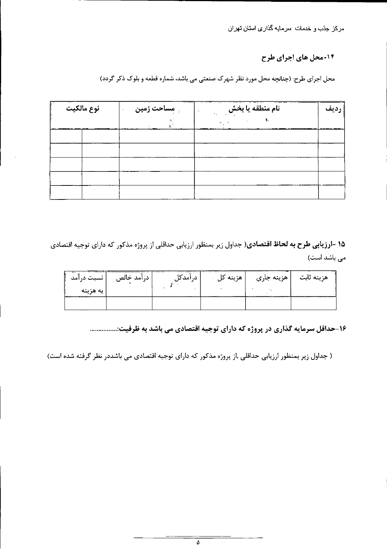#### ۱۴-محل های اجرای طرح

محل اجرای طرح: (چنانچه محل مورد نظر شهرک صنعتی می باشد، شماره قطعه و بلوک ذکر گردد)

|  |  | 14.147<br>مساحت زمين | نام منطقه یا بخش | رديف |
|--|--|----------------------|------------------|------|
|  |  |                      |                  |      |
|  |  |                      |                  |      |
|  |  |                      |                  |      |
|  |  |                      |                  |      |
|  |  |                      |                  |      |
|  |  |                      |                  |      |

۱۵ -ا**رزیابی طرح به لحاظ اقتصادی**( جداول زیر بمنظور ارزیابی حداقلی از پروژه مذکور که دارای توجیه اقتصادی می باشد است)

| انسىت درامد | درآمد خالص | د, امد دا ۱ | هزينه کل | هزینه ثابت   هزینه جاری |  |
|-------------|------------|-------------|----------|-------------------------|--|
| به هزینه    |            |             |          |                         |  |
|             |            |             |          |                         |  |

۱۶-حداقل سرمایه گذاری در پروژه که دارای توجیه اقتصادی می باشد به ظرفیت:...............

( جداول زیر بمنظور ارزیابی حداقلی ,از پروژه مذکور که دارای توجیه اقتصادی می باشددر نظر گرفته شده است)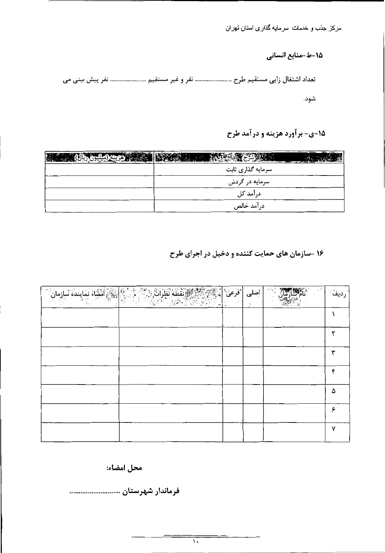#### 15-ط-منابع انسانی

تعداد اشتغال زایی مستقیم طرح ........................... نفر و غیر مستقیم ......................... نفر پیش بینی می شود.

## 15-ي- برآورد هزينه و درآمد طرح

| $\frac{1}{2}$<br>DE SAMPL |  |
|---------------------------|--|
| سرمایه گذاری ثابت         |  |
| سرمایه در گردش            |  |
| درآمد کل                  |  |
| درآمد خالص                |  |

۱۶ -سازمان های حمایت کننده و دخیل در اجرای طرح

| <b>مَنْ الْمَلْجَمَعِ الْمُشَاءُ نَمَايِندُ</b> هِ ٱسْارِمانَ | اصلى   فرعى   $\left  \begin{array}{c} \mathbb{R}^m \end{array} \right $ |  |   |
|---------------------------------------------------------------|--------------------------------------------------------------------------|--|---|
|                                                               |                                                                          |  |   |
|                                                               |                                                                          |  |   |
|                                                               |                                                                          |  |   |
|                                                               |                                                                          |  | ۴ |
|                                                               |                                                                          |  | Δ |
|                                                               |                                                                          |  | ¢ |
|                                                               |                                                                          |  | v |

محل امضاء: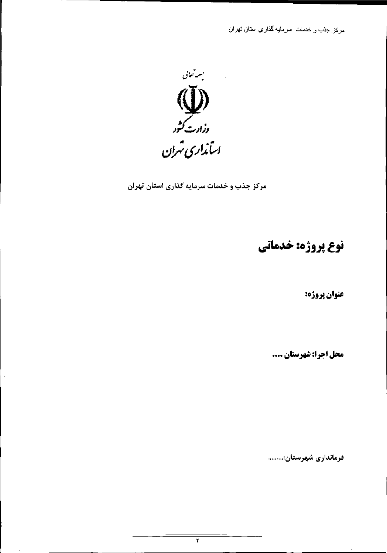

مرکز جذب و خدمات سرمایه گذاری استان تهران

نوع پروژه: خدماتی

عنوان پروژه:

محل اجرا: شهرستان ....

فرمانداری شهرستان:.........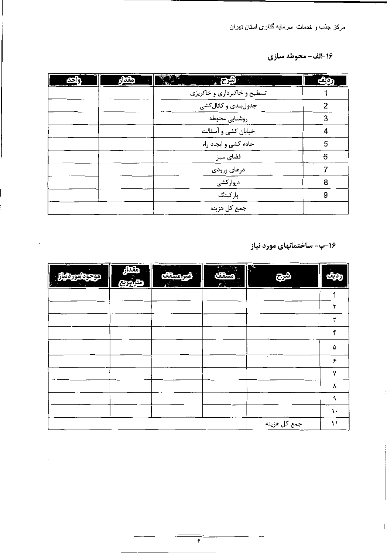#### 16-الف- محوطه سازي

| دواجنة | مقدار | المستبدأ الأشرح المنا       | <del>ر</del> ديف |
|--------|-------|-----------------------------|------------------|
|        |       | تسطیح و خاکبرداری و خاکریزی |                  |
|        |       | جدولبندی و کانال کشی        | 2                |
|        |       | روشنايي محوطه               | 3                |
|        |       | خیابان کشی و آسفالت         |                  |
|        |       | جاده کشی و ایجاد راه        | 5                |
|        |       | فضای سبز                    | 6                |
|        |       | درهای ورودی                 |                  |
|        |       | دیوارکشی                    | 8                |
|        |       | پارکینگ                     | 9                |
|        |       | جمع کل هزينه                |                  |

۱۶-ب- ساختمانهای مورد نیاز



 $\epsilon$ 

 $\mathcal{L}(\mathcal{L})$  , and  $\mathcal{L}(\mathcal{L})$  , and  $\mathcal{L}(\mathcal{L})$ 

| <b>Experience of the Community</b><br>Ш | <u> مترامریع</u> | Ш<br>$\mathbf{A}^{\mathcal{L}}$ | $\mathcal{L}$<br>il |              |               |
|-----------------------------------------|------------------|---------------------------------|---------------------|--------------|---------------|
|                                         |                  |                                 |                     |              |               |
|                                         |                  |                                 |                     |              | ۷             |
|                                         |                  |                                 |                     |              | ٣             |
|                                         |                  |                                 |                     |              | ۴             |
|                                         |                  |                                 |                     |              | ۵             |
|                                         |                  |                                 |                     |              | ۶             |
|                                         |                  |                                 |                     |              | M             |
|                                         |                  |                                 |                     |              | λ             |
|                                         |                  |                                 |                     |              | ٩             |
|                                         |                  |                                 |                     |              | $\mathcal{L}$ |
|                                         |                  |                                 |                     | جمع كل هزينه | $\mathcal{V}$ |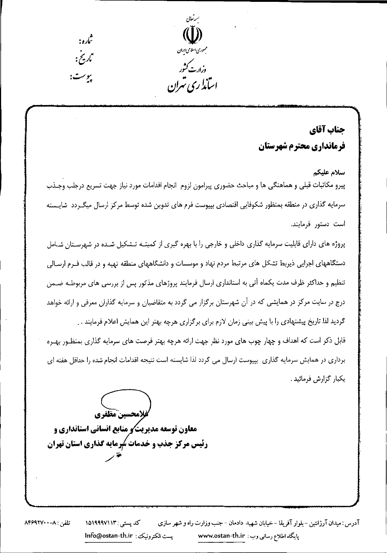

# جناب آقاي فرمانداري محترم شهرستان

سلام عليكم پیرو مکاتبات قبلی و هماهنگی ها و مباحث حضوری پیرامون لزوم انجام اقدامات مورد نیاز جهت تسریع درجلب وجـذب سرمایه گذاری در منطقه بمنظور شکوفایی اقتصادی بپیوست فرم های تدوین شده توسط مرکز ارسال میگـردد شایـسته است دستور فرمايند. پروژه های دارای قابلیت سرمایه گذاری داخلی و خارجی را با بهره گیری از کمیتـه تـشکیل شـده در شهرسـتان شـامل

دستگاههای اجرایی ذیربط تشکل های مرتبط مردم نهاد و موسسات و دانشگاههای منطقه تهیه و در قالب فـرم ارســالی

تنظیم و حداکثر ظرف مدت یکماه آتی به استانداری ارسال فرمایند پروژهای مذکور پس از بررسی های مربوطـه ضــمن درج در سایت مرکز در همایشی که در آن شهرستان برگزار می گردد به متقاضیان و سرمایه گذاران معرفی و ارائه خواهد گردید لذا تاریخ پیشنهادی را با پیش بینی زمان لازم برای برگزاری هرچه بهتر این همایش اعلام فرمایند . . قابل ذکر است که اهداف و چهار چوب های مورد نظر جهت ارائه هرچه بهتر فرصت های سرمایه گذاری بمنظـور بهـره برداری در همایش سرمایه گذاری بپیوست ارسال می گردد لذا شایسته است نتیجه اقدامات انجام شده را حداقل هفته ای يكبار گزارش فرمائيد .

كفلامحسين مظفري معاون توسعه مدیریت و منابع انسانی استانداری و رئیس مرکز جذب و خدمات سُرمایه گذاری استان تهران

آدرس : ميدان آرژانتين – بلوار آفريقا – خيابان شهيد دادمان – جنب وزارت راه و شهر سازي کد پستی : ۱۵۱۹۹۹۷۱۱۳ تلفن : ٨-٨۴۶٩٢٧٠ بست الكترونيك: lnfo@ostan-th.ir پایگاه اطلاع رسانی وب : www.ostan-th.ir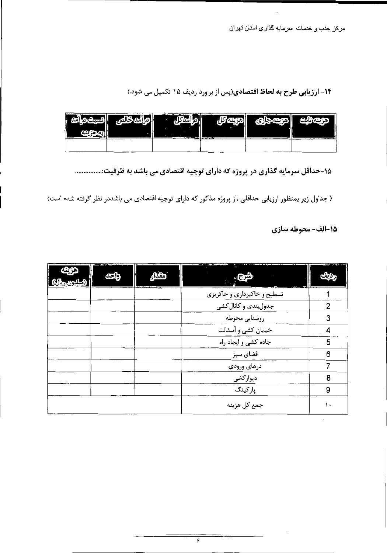۱۴- ارزیابی طرح به لحاظ اقتصادی(پس از براورد ردیف ۱۵ تکمیل می شود.)

| <b>The Commission Contract Contract Contract</b><br>н<br>ÌзI<br>Ħ |                                               | <u>. на стр</u>                                                                                                                                                                                                                      | ----<br>BП     | <b>The contract of the contract of the contract of the contract of the contract of the contract of the contract of the contract of the contract of the contract of the contract of the contract of the contract of the contract </b> |                                                                                                                 |
|-------------------------------------------------------------------|-----------------------------------------------|--------------------------------------------------------------------------------------------------------------------------------------------------------------------------------------------------------------------------------------|----------------|--------------------------------------------------------------------------------------------------------------------------------------------------------------------------------------------------------------------------------------|-----------------------------------------------------------------------------------------------------------------|
| $\sim$ $\sim$ $\sim$ $\sim$                                       | the state of the state of the state<br>$\sim$ | <u>and the companished and the same of the same of the same of the same of the same of the same of the same of the same of the same of the same of the same of the same of the same of the same of the same of the same of the s</u> | <u>ua cate</u> |                                                                                                                                                                                                                                      | the contract of the contract of the contract of the contract of the contract of the contract of the contract of |

۱۵-حداقل سرمایه گذاری در پروژه که دارای توجیه اقتصادی می باشد به ظرفیت:...............

( جداول زیر بمنظور ارزیابی حداقلی ,از پروژه مذکور که دارای توجیه اقتصادی می باشددر نظر گرفته شده است)

15-الف- محوطه سازي

 $\sim 100$  km s  $^{-1}$ 

 $\sim$ 



| ا  <u>(مینتون ری</u> ال)] | 2000 - - - -                |    |
|---------------------------|-----------------------------|----|
|                           | تسطیح و خاکبرداری و خاکریزی |    |
|                           | جدولبندی و کانال کشی        | 2  |
|                           | روشنايي محوطه               |    |
|                           | خیابان کشی و آسفالت         | 4  |
|                           | جاده کشی و ایجاد راه        | 5  |
|                           | فضای سبز                    | 6  |
|                           | درهای ورودی                 |    |
|                           | دیوارکشی                    | 8  |
|                           | پارکینگ                     | 9  |
|                           | جمع کل هزینه                | ١. |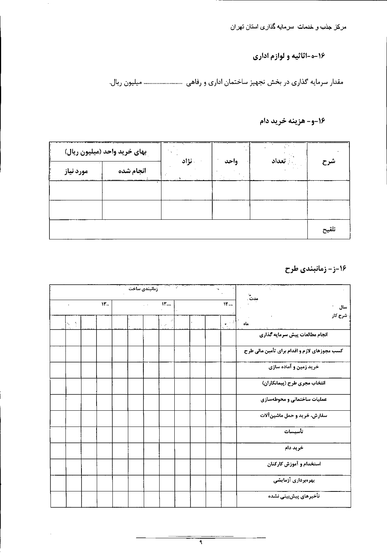۱۶-ه-اثاثیه و لوازم اداری

مقدار سرمایه گذاری در بخش تجهیز ساختمان اداری و رفاهی مسسسسسسسس میلیون ریال.

16-و- هزينه خريد دام

|           | ِ بهای خرید واحد (میلیون ریال) |        | $\sim$ 3<br>واحد | Website.<br>﴿ تَعْدَادُ |       |
|-----------|--------------------------------|--------|------------------|-------------------------|-------|
| مورد نیاز | انجام شده                      | . نژاد |                  |                         | شرح   |
|           |                                |        |                  |                         |       |
|           |                                |        |                  |                         |       |
|           |                                |        |                  |                         | تلقيح |

1۶-ز- زمانبندی طرح

|  |     | زمانبندي ساخت |           |                                     |  |              |                                              |
|--|-----|---------------|-----------|-------------------------------------|--|--------------|----------------------------------------------|
|  | ۱۳. |               | $\ddotsc$ | $yr_{\dots}$                        |  | $\mathbf{W}$ | مدت .<br>مدت .<br>سال                        |
|  |     |               |           | $\mathcal{L}=\mathcal{L}^{\bullet}$ |  |              | شرح کار<br>ماه                               |
|  |     |               |           |                                     |  |              | انجام مطالعات پیش سرمایه گذاری               |
|  |     |               |           |                                     |  |              | کسب مجوزهای لازم و اقدام برای تأمین مالی طرح |
|  |     |               |           |                                     |  |              | خرید زمین و آماده سازی                       |
|  |     |               |           |                                     |  |              | انتخاب مجری طرح (پیمانکاران)                 |
|  |     |               |           |                                     |  |              | عملیات ساختمانی و محوطهسازی                  |
|  |     |               |           |                                     |  |              | سفارش، خرید و حمل ماشینآلات                  |
|  |     |               |           |                                     |  |              | تأسيسات                                      |
|  |     |               |           |                                     |  |              | خريد دام                                     |
|  |     |               |           |                                     |  |              | استخدام و آموزش کارکنان                      |
|  |     |               |           |                                     |  |              | بهرهبردارى آزمايشى                           |
|  |     |               |           |                                     |  |              | تأخيرهاى پيشبينى نشده                        |